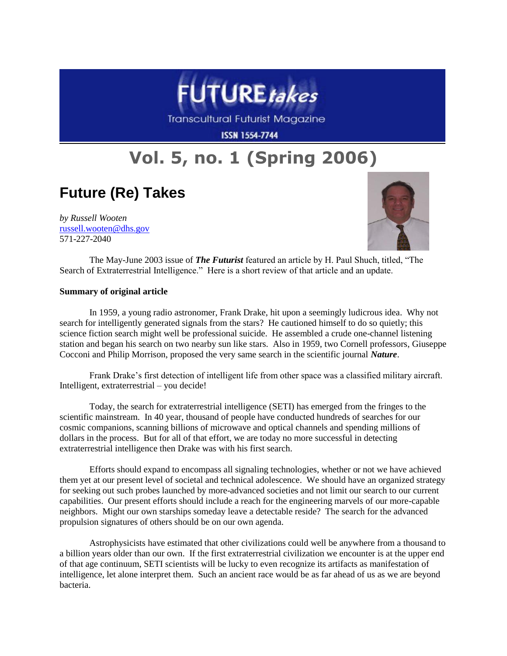

Transcultural Futurist Magazine

**ISSN 1554-7744** 

## **Vol. 5, no. 1 (Spring 2006)**

## **Future (Re) Takes**

*by Russell Wooten* [russell.wooten@dhs.gov](mailto:russell.wooten@dhs.gov) 571-227-2040



The May-June 2003 issue of *The Futurist* featured an article by H. Paul Shuch, titled, "The Search of Extraterrestrial Intelligence." Here is a short review of that article and an update.

## **Summary of original article**

In 1959, a young radio astronomer, Frank Drake, hit upon a seemingly ludicrous idea. Why not search for intelligently generated signals from the stars? He cautioned himself to do so quietly; this science fiction search might well be professional suicide. He assembled a crude one-channel listening station and began his search on two nearby sun like stars. Also in 1959, two Cornell professors, Giuseppe Cocconi and Philip Morrison, proposed the very same search in the scientific journal *Nature*.

Frank Drake's first detection of intelligent life from other space was a classified military aircraft. Intelligent, extraterrestrial – you decide!

Today, the search for extraterrestrial intelligence (SETI) has emerged from the fringes to the scientific mainstream. In 40 year, thousand of people have conducted hundreds of searches for our cosmic companions, scanning billions of microwave and optical channels and spending millions of dollars in the process. But for all of that effort, we are today no more successful in detecting extraterrestrial intelligence then Drake was with his first search.

Efforts should expand to encompass all signaling technologies, whether or not we have achieved them yet at our present level of societal and technical adolescence. We should have an organized strategy for seeking out such probes launched by more-advanced societies and not limit our search to our current capabilities. Our present efforts should include a reach for the engineering marvels of our more-capable neighbors. Might our own starships someday leave a detectable reside? The search for the advanced propulsion signatures of others should be on our own agenda.

Astrophysicists have estimated that other civilizations could well be anywhere from a thousand to a billion years older than our own. If the first extraterrestrial civilization we encounter is at the upper end of that age continuum, SETI scientists will be lucky to even recognize its artifacts as manifestation of intelligence, let alone interpret them. Such an ancient race would be as far ahead of us as we are beyond bacteria.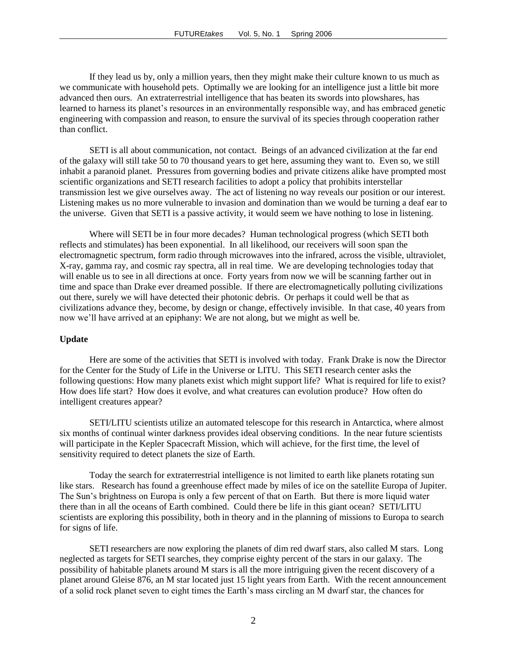If they lead us by, only a million years, then they might make their culture known to us much as we communicate with household pets. Optimally we are looking for an intelligence just a little bit more advanced then ours. An extraterrestrial intelligence that has beaten its swords into plowshares, has learned to harness its planet's resources in an environmentally responsible way, and has embraced genetic engineering with compassion and reason, to ensure the survival of its species through cooperation rather than conflict.

SETI is all about communication, not contact. Beings of an advanced civilization at the far end of the galaxy will still take 50 to 70 thousand years to get here, assuming they want to. Even so, we still inhabit a paranoid planet. Pressures from governing bodies and private citizens alike have prompted most scientific organizations and SETI research facilities to adopt a policy that prohibits interstellar transmission lest we give ourselves away. The act of listening no way reveals our position or our interest. Listening makes us no more vulnerable to invasion and domination than we would be turning a deaf ear to the universe. Given that SETI is a passive activity, it would seem we have nothing to lose in listening.

Where will SETI be in four more decades? Human technological progress (which SETI both reflects and stimulates) has been exponential. In all likelihood, our receivers will soon span the electromagnetic spectrum, form radio through microwaves into the infrared, across the visible, ultraviolet, X-ray, gamma ray, and cosmic ray spectra, all in real time. We are developing technologies today that will enable us to see in all directions at once. Forty years from now we will be scanning farther out in time and space than Drake ever dreamed possible. If there are electromagnetically polluting civilizations out there, surely we will have detected their photonic debris. Or perhaps it could well be that as civilizations advance they, become, by design or change, effectively invisible. In that case, 40 years from now we'll have arrived at an epiphany: We are not along, but we might as well be.

## **Update**

Here are some of the activities that SETI is involved with today. Frank Drake is now the Director for the Center for the Study of Life in the Universe or LITU. This SETI research center asks the following questions: How many planets exist which might support life? What is required for life to exist? How does life start? How does it evolve, and what creatures can evolution produce? How often do intelligent creatures appear?

SETI/LITU scientists utilize an automated telescope for this research in Antarctica, where almost six months of continual winter darkness provides ideal observing conditions. In the near future scientists will participate in the Kepler Spacecraft Mission, which will achieve, for the first time, the level of sensitivity required to detect planets the size of Earth.

Today the search for extraterrestrial intelligence is not limited to earth like planets rotating sun like stars. Research has found a greenhouse effect made by miles of ice on the satellite Europa of Jupiter. The Sun's brightness on Europa is only a few percent of that on Earth. But there is more liquid water there than in all the oceans of Earth combined. Could there be life in this giant ocean? SETI/LITU scientists are exploring this possibility, both in theory and in the planning of missions to Europa to search for signs of life.

SETI researchers are now exploring the planets of dim red dwarf stars, also called M stars. Long neglected as targets for SETI searches, they comprise eighty percent of the stars in our galaxy. The possibility of habitable planets around M stars is all the more intriguing given the recent discovery of a planet around Gleise 876, an M star located just 15 light years from Earth. With the recent announcement of a solid rock planet seven to eight times the Earth's mass circling an M dwarf star, the chances for